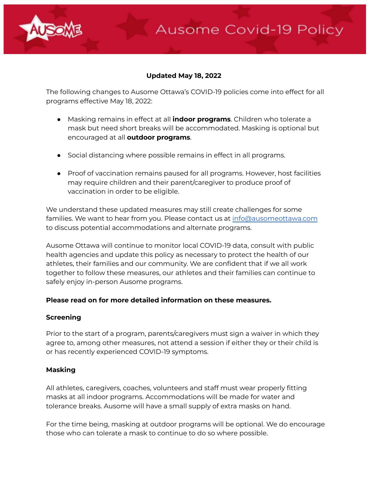

**Ausome Covid-19 Policy** 

The following changes to Ausome Ottawa's COVID-19 policies come into effect for all programs effective May 18, 2022:

- Masking remains in effect at all **indoor programs**. Children who tolerate a mask but need short breaks will be accommodated. Masking is optional but encouraged at all **outdoor programs**.
- Social distancing where possible remains in effect in all programs.
- Proof of vaccination remains paused for all programs. However, host facilities may require children and their parent/caregiver to produce proof of vaccination in order to be eligible.

We understand these updated measures may still create challenges for some families. We want to hear from you. Please contact us at info@ausomeottawa.com to discuss potential accommodations and alternate programs.

Ausome Ottawa will continue to monitor local COVID-19 data, consult with public health agencies and update this policy as necessary to protect the health of our athletes, their families and our community. We are confident that if we all work together to follow these measures, our athletes and their families can continue to safely enjoy in-person Ausome programs.

### **Please read on for more detailed information on these measures.**

### **Screening**

Prior to the start of a program, parents/caregivers must sign a waiver in which they agree to, among other measures, not attend a session if either they or their child is or has recently experienced COVID-19 symptoms.

### **Masking**

All athletes, caregivers, coaches, volunteers and staff must wear properly fitting masks at all indoor programs. Accommodations will be made for water and tolerance breaks. Ausome will have a small supply of extra masks on hand.

For the time being, masking at outdoor programs will be optional. We do encourage those who can tolerate a mask to continue to do so where possible.